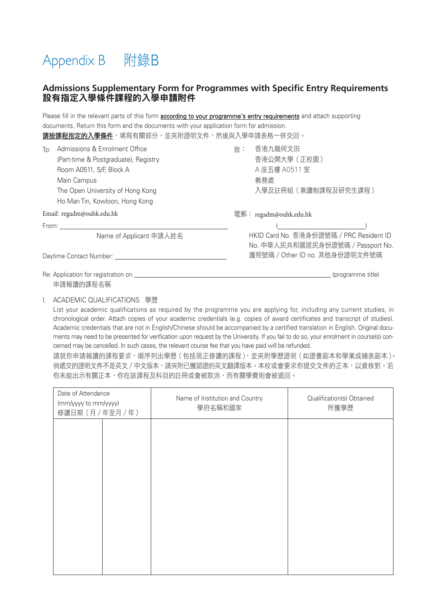# Appendix B 附錄B

## **Admissions Supplementary Form for Programmes with Specific Entry Requirements** 設有指定入學條件課程的入學申請附件

Please fill in the relevant parts of this form according to your programme's entry requirements and attach supporting

| documents. Return this form and the documents with your application form for admission.<br><b>請按課程指定的入學條件</b> ,填寫有關部分,並夾附證明文件,然後與入學申請表格一併交回。                                                  |                                                                              |  |  |  |
|-----------------------------------------------------------------------------------------------------------------------------------------------------------------------------------------------|------------------------------------------------------------------------------|--|--|--|
| Admissions & Enrolment Office<br>To:<br>(Part-time & Postgraduate), Registry<br>Room A0511, 5/F, Block A<br>Main Campus<br>The Open University of Hong Kong<br>Ho Man Tin, Kowloon, Hong Kong | 香港九龍何文田<br>致:<br>香港公開大學(正校園)<br>A 座五樓 A0511 室<br>教務處<br>入學及註冊組(兼讀制課程及研究生課程)  |  |  |  |
| Email: regadm@ouhk.edu.hk                                                                                                                                                                     | 電郵: regadm@ouhk.edu.hk                                                       |  |  |  |
|                                                                                                                                                                                               |                                                                              |  |  |  |
| Name of Applicant 申請人姓名                                                                                                                                                                       | HKID Card No. 香港身份證號碼 / PRC Resident ID<br>No. 中華人民共和國居民身份證號碼 / Passport No. |  |  |  |
|                                                                                                                                                                                               | 護照號碼 / Other ID no. 其他身份證明文件號碼                                               |  |  |  |
| Re: Application for registration on<br>申請報讀的課程名稱                                                                                                                                              | (programme title)                                                            |  |  |  |

#### I. ACADEMIC QUALIFICATIONS 學歷

List your academic qualifications as required by the programme you are applying for, including any current studies, in chronological order. Attach copies of your academic credentials (e.g. copies of award certificates and transcript of studies). Academic credentials that are not in English/Chinese should be accompanied by a certified translation in English. Original documents may need to be presented for verification upon request by the University. If you fail to do so, your enrolment in course(s) concerned may be cancelled. In such cases, the relevant course fee that you have paid will be refunded.

請就你申請報讀的課程要求,順序列出學歷(包括現正修讀的課程),並夾附學歷證明(如證書副本和學業成績表副本)。 倘遞交的證明文件不是英文/中文版本,請夾附已獲認證的英文翻譯版本。本校或會要求你提交文件的正本,以資核對。若 你未能出示有關正本,你在該課程及科目的註冊或會被取消,而有關學費則會被退回。

| Date of Attendance<br>(mm/yyyy to mm/yyyy)<br>修讀日期(月/年至月/年) | Name of Institution and Country<br>學府名稱和國家 | Qualification(s) Obtained<br>所獲學歷 |
|-------------------------------------------------------------|--------------------------------------------|-----------------------------------|
|                                                             |                                            |                                   |
|                                                             |                                            |                                   |
|                                                             |                                            |                                   |
|                                                             |                                            |                                   |
|                                                             |                                            |                                   |